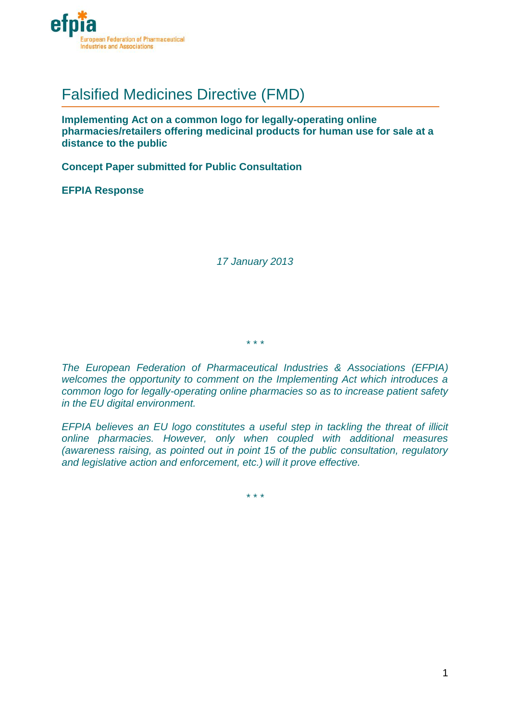

# Falsified Medicines Directive (FMD)

**Implementing Act on a common logo for legally-operating online pharmacies/retailers offering medicinal products for human use for sale at a distance to the public**

**Concept Paper submitted for Public Consultation**

**EFPIA Response** 

*17 January 2013*

*\* \* \**

*The European Federation of Pharmaceutical Industries & Associations (EFPIA) welcomes the opportunity to comment on the Implementing Act which introduces a common logo for legally-operating online pharmacies so as to increase patient safety in the EU digital environment.*

*EFPIA believes an EU logo constitutes a useful step in tackling the threat of illicit online pharmacies. However, only when coupled with additional measures (awareness raising, as pointed out in point 15 of the public consultation, regulatory and legislative action and enforcement, etc.) will it prove effective.*

*\* \* \**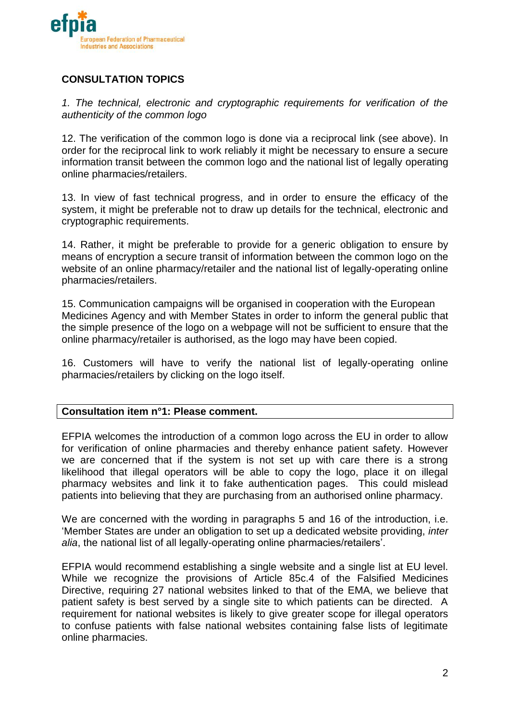

# **CONSULTATION TOPICS**

*1. The technical, electronic and cryptographic requirements for verification of the authenticity of the common logo* 

12. The verification of the common logo is done via a reciprocal link (see above). In order for the reciprocal link to work reliably it might be necessary to ensure a secure information transit between the common logo and the national list of legally operating online pharmacies/retailers.

13. In view of fast technical progress, and in order to ensure the efficacy of the system, it might be preferable not to draw up details for the technical, electronic and cryptographic requirements.

14. Rather, it might be preferable to provide for a generic obligation to ensure by means of encryption a secure transit of information between the common logo on the website of an online pharmacy/retailer and the national list of legally-operating online pharmacies/retailers.

15. Communication campaigns will be organised in cooperation with the European Medicines Agency and with Member States in order to inform the general public that the simple presence of the logo on a webpage will not be sufficient to ensure that the online pharmacy/retailer is authorised, as the logo may have been copied.

16. Customers will have to verify the national list of legally-operating online pharmacies/retailers by clicking on the logo itself.

## **Consultation item n°1: Please comment.**

EFPIA welcomes the introduction of a common logo across the EU in order to allow for verification of online pharmacies and thereby enhance patient safety. However we are concerned that if the system is not set up with care there is a strong likelihood that illegal operators will be able to copy the logo, place it on illegal pharmacy websites and link it to fake authentication pages. This could mislead patients into believing that they are purchasing from an authorised online pharmacy.

We are concerned with the wording in paragraphs 5 and 16 of the introduction, i.e. 'Member States are under an obligation to set up a dedicated website providing, *inter alia*, the national list of all legally-operating online pharmacies/retailers'.

EFPIA would recommend establishing a single website and a single list at EU level. While we recognize the provisions of Article 85c.4 of the Falsified Medicines Directive, requiring 27 national websites linked to that of the EMA, we believe that patient safety is best served by a single site to which patients can be directed. A requirement for national websites is likely to give greater scope for illegal operators to confuse patients with false national websites containing false lists of legitimate online pharmacies.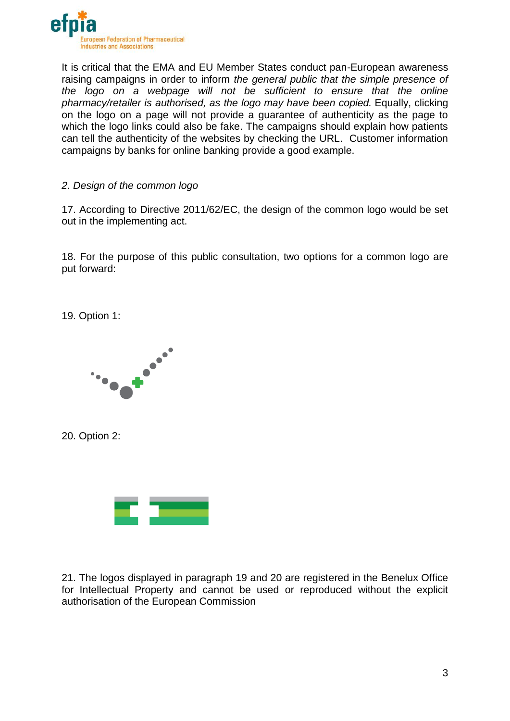

It is critical that the EMA and EU Member States conduct pan-European awareness raising campaigns in order to inform *the general public that the simple presence of the logo on a webpage will not be sufficient to ensure that the online pharmacy/retailer is authorised, as the logo may have been copied.* Equally, clicking on the logo on a page will not provide a guarantee of authenticity as the page to which the logo links could also be fake. The campaigns should explain how patients can tell the authenticity of the websites by checking the URL. Customer information campaigns by banks for online banking provide a good example.

# *2. Design of the common logo*

17. According to Directive 2011/62/EC, the design of the common logo would be set out in the implementing act.

18. For the purpose of this public consultation, two options for a common logo are put forward:

19. Option 1:



20. Option 2:



21. The logos displayed in paragraph 19 and 20 are registered in the Benelux Office for Intellectual Property and cannot be used or reproduced without the explicit authorisation of the European Commission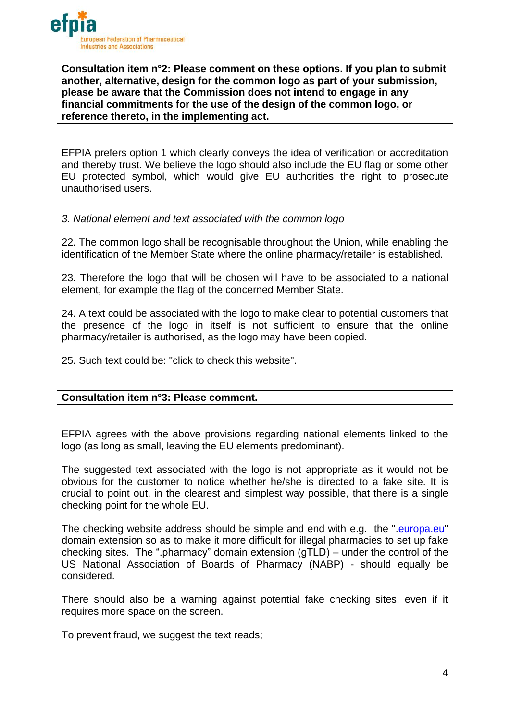

**Consultation item n°2: Please comment on these options. If you plan to submit another, alternative, design for the common logo as part of your submission, please be aware that the Commission does not intend to engage in any financial commitments for the use of the design of the common logo, or reference thereto, in the implementing act.**

EFPIA prefers option 1 which clearly conveys the idea of verification or accreditation and thereby trust. We believe the logo should also include the EU flag or some other EU protected symbol, which would give EU authorities the right to prosecute unauthorised users.

#### *3. National element and text associated with the common logo*

22. The common logo shall be recognisable throughout the Union, while enabling the identification of the Member State where the online pharmacy/retailer is established.

23. Therefore the logo that will be chosen will have to be associated to a national element, for example the flag of the concerned Member State.

24. A text could be associated with the logo to make clear to potential customers that the presence of the logo in itself is not sufficient to ensure that the online pharmacy/retailer is authorised, as the logo may have been copied.

25. Such text could be: "click to check this website".

## **Consultation item n°3: Please comment.**

EFPIA agrees with the above provisions regarding national elements linked to the logo (as long as small, leaving the EU elements predominant).

The suggested text associated with the logo is not appropriate as it would not be obvious for the customer to notice whether he/she is directed to a fake site. It is crucial to point out, in the clearest and simplest way possible, that there is a single checking point for the whole EU.

The checking website address should be simple and end with e.g. the "[.europa.eu"](http://europa.eu/) domain extension so as to make it more difficult for illegal pharmacies to set up fake checking sites. The ".pharmacy" domain extension (gTLD) – under the control of the US National Association of Boards of Pharmacy (NABP) - should equally be considered.

There should also be a warning against potential fake checking sites, even if it requires more space on the screen.

To prevent fraud, we suggest the text reads;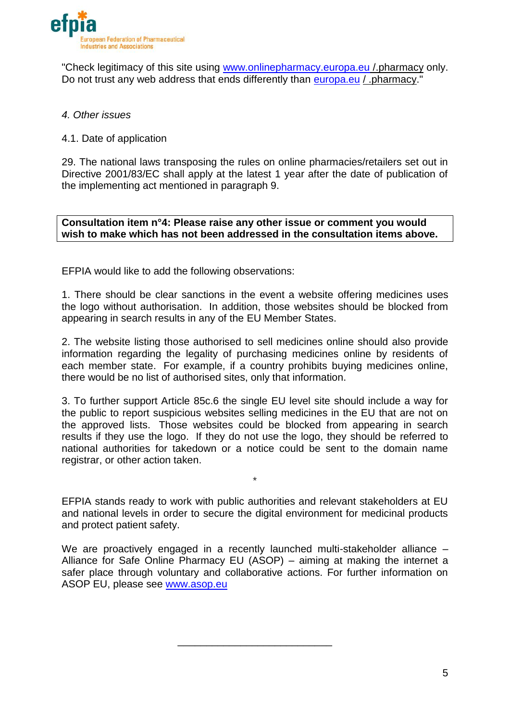

"Check legitimacy of this site using [www.onlinepharmacy.europa.eu](http://www.onlinepharmacy.europa.eu/) /.pharmacy only. Do not trust any web address that ends differently than [europa.eu](http://europa.eu/) / .pharmacy."

# *4. Other issues*

# 4.1. Date of application

29. The national laws transposing the rules on online pharmacies/retailers set out in Directive 2001/83/EC shall apply at the latest 1 year after the date of publication of the implementing act mentioned in paragraph 9.

**Consultation item n°4: Please raise any other issue or comment you would wish to make which has not been addressed in the consultation items above.**

EFPIA would like to add the following observations:

1. There should be clear sanctions in the event a website offering medicines uses the logo without authorisation. In addition, those websites should be blocked from appearing in search results in any of the EU Member States.

2. The website listing those authorised to sell medicines online should also provide information regarding the legality of purchasing medicines online by residents of each member state. For example, if a country prohibits buying medicines online, there would be no list of authorised sites, only that information.

3. To further support Article 85c.6 the single EU level site should include a way for the public to report suspicious websites selling medicines in the EU that are not on the approved lists. Those websites could be blocked from appearing in search results if they use the logo. If they do not use the logo, they should be referred to national authorities for takedown or a notice could be sent to the domain name registrar, or other action taken.

EFPIA stands ready to work with public authorities and relevant stakeholders at EU and national levels in order to secure the digital environment for medicinal products and protect patient safety.

\*

We are proactively engaged in a recently launched multi-stakeholder alliance -Alliance for Safe Online Pharmacy EU (ASOP) – aiming at making the internet a safer place through voluntary and collaborative actions. For further information on ASOP EU, please see [www.asop.eu](http://www.asop.eu/)

\_\_\_\_\_\_\_\_\_\_\_\_\_\_\_\_\_\_\_\_\_\_\_\_\_\_\_